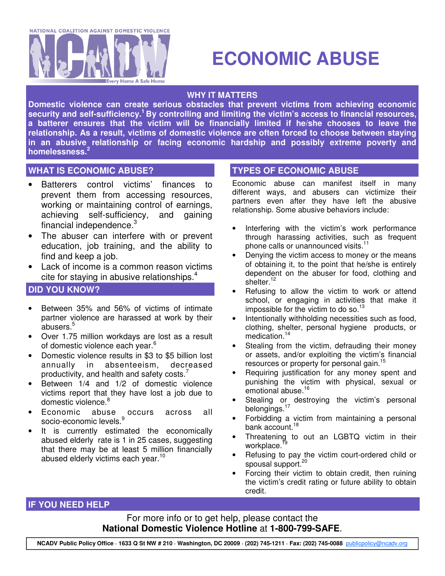

# **ECONOMIC ABUSE**

# **WHY IT MATTERS**

**Domestic violence can create serious obstacles that prevent victims from achieving economic security and self-sufficiency. <sup>1</sup> By controlling and limiting the victim's access to financial resources, a batterer ensures that the victim will be financially limited if he/she chooses to leave the relationship. As a result, victims of domestic violence are often forced to choose between staying in an abusive relationship or facing economic hardship and possibly extreme poverty and homelessness. 2**

# **WHAT IS ECONOMIC ABUSE? TYPES OF ECONOMIC ABUSE**

- Batterers control victims' finances to prevent them from accessing resources, working or maintaining control of earnings, achieving self-sufficiency, and gaining financial independence.<sup>3</sup>
- The abuser can interfere with or prevent education, job training, and the ability to find and keep a job.
- Lack of income is a common reason victims cite for staying in abusive relationships.<sup>4</sup>

# **DID YOU KNOW?**

- Between 35% and 56% of victims of intimate partner violence are harassed at work by their abusers. 5
- Over 1.75 million workdays are lost as a result of domestic violence each year. 6
- Domestic violence results in \$3 to \$5 billion lost annually in absenteeism, decreased productivity, and health and safety costs.<sup>7</sup>
- Between 1/4 and 1/2 of domestic violence victims report that they have lost a job due to domestic violence.<sup>8</sup>
- Economic abuse occurs across all socio-economic levels. 9
- It is currently estimated the economically abused elderly rate is 1 in 25 cases, suggesting that there may be at least 5 million financially abused elderly victims each year.<sup>10</sup>

Economic abuse can manifest itself in many different ways, and abusers can victimize their partners even after they have left the abusive relationship. Some abusive behaviors include:

- Interfering with the victim's work performance through harassing activities, such as frequent phone calls or unannounced visits.<sup>11</sup>
- Denying the victim access to money or the means of obtaining it, to the point that he/she is entirely dependent on the abuser for food, clothing and shelter.<sup>12</sup>
- Refusing to allow the victim to work or attend school, or engaging in activities that make it impossible for the victim to do so.<sup>13</sup>
- Intentionally withholding necessities such as food, clothing, shelter, personal hygiene products, or medication. 14
- Stealing from the victim, defrauding their money or assets, and/or exploiting the victim's financial resources or property for personal gain.<sup>15</sup>
- Requiring justification for any money spent and punishing the victim with physical, sexual or emotional abuse.<sup>16</sup>
- Stealing or destroying the victim's personal belongings.<sup>17</sup>
- Forbidding a victim from maintaining a personal bank account. 18
- Threatening to out an LGBTQ victim in their workplace.<sup>f9</sup>
- Refusing to pay the victim court-ordered child or spousal support.<sup>20</sup>
- Forcing their victim to obtain credit, then ruining the victim's credit rating or future ability to obtain credit.

### **IF YOU NEED HELP**

For more info or to get help, please contact the **National Domestic Violence Hotline** at **1-800-799-SAFE**.

NCADV Public Policy Office · 1633 Q St NW # 210 · Washington, DC 20009 · (202) 745-1211 · Fax: (202) 745-0088 publicpolicy@ncadv.org